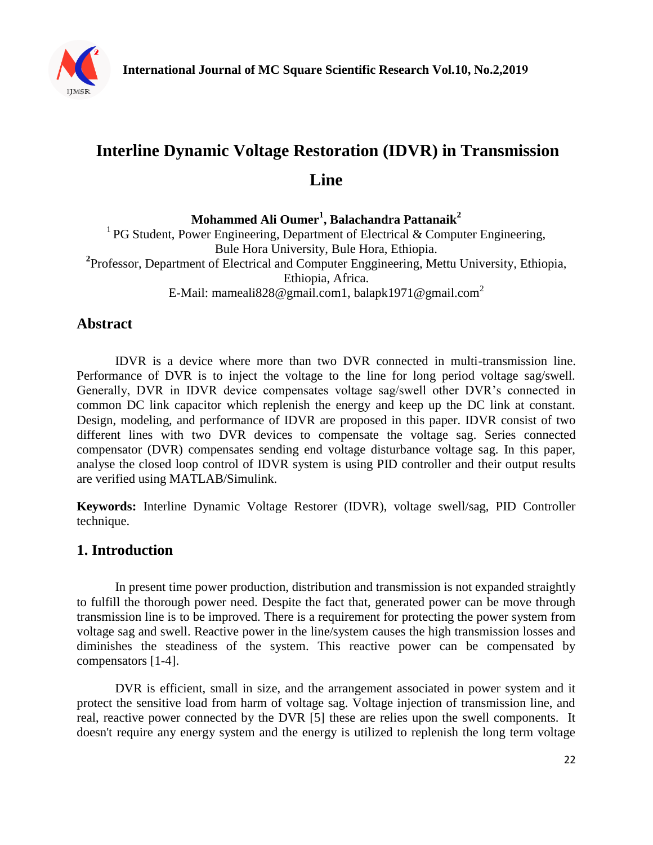

# **Interline Dynamic Voltage Restoration (IDVR) in Transmission Line**

**Mohammed Ali Oumer<sup>1</sup> , Balachandra Pattanaik<sup>2</sup>** <sup>1</sup> PG Student, Power Engineering, Department of Electrical & Computer Engineering, Bule Hora University, Bule Hora, Ethiopia. **2** Professor, Department of Electrical and Computer Enggineering, Mettu University, Ethiopia, Ethiopia, Africa. E-Mail: [mameali828@gmail.com1,](mailto:mameali828@gmail.com1) [balapk1971@gmail.com](mailto:balapk1971@gmail.com2)<sup>2</sup>

## **Abstract**

IDVR is a device where more than two DVR connected in multi-transmission line. Performance of DVR is to inject the voltage to the line for long period voltage sag/swell. Generally, DVR in IDVR device compensates voltage sag/swell other DVR's connected in common DC link capacitor which replenish the energy and keep up the DC link at constant. Design, modeling, and performance of IDVR are proposed in this paper. IDVR consist of two different lines with two DVR devices to compensate the voltage sag. Series connected compensator (DVR) compensates sending end voltage disturbance voltage sag. In this paper, analyse the closed loop control of IDVR system is using PID controller and their output results are verified using MATLAB/Simulink.

**Keywords:** Interline Dynamic Voltage Restorer (IDVR), voltage swell/sag, PID Controller technique.

## **1. Introduction**

In present time power production, distribution and transmission is not expanded straightly to fulfill the thorough power need. Despite the fact that, generated power can be move through transmission line is to be improved. There is a requirement for protecting the power system from voltage sag and swell. Reactive power in the line/system causes the high transmission losses and diminishes the steadiness of the system. This reactive power can be compensated by compensators [1-4].

DVR is efficient, small in size, and the arrangement associated in power system and it protect the sensitive load from harm of voltage sag. Voltage injection of transmission line, and real, reactive power connected by the DVR [5] these are relies upon the swell components. It doesn't require any energy system and the energy is utilized to replenish the long term voltage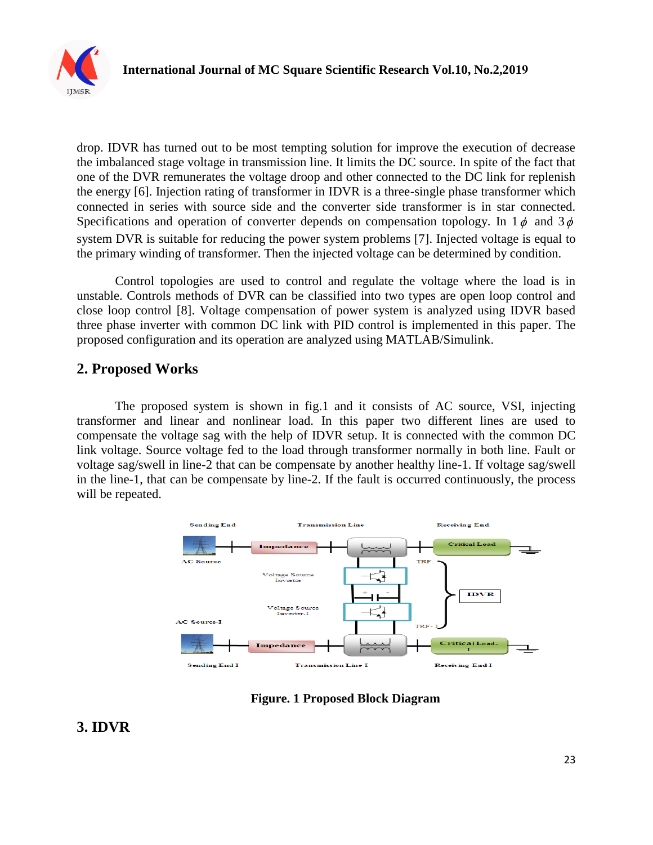

drop. IDVR has turned out to be most tempting solution for improve the execution of decrease the imbalanced stage voltage in transmission line. It limits the DC source. In spite of the fact that one of the DVR remunerates the voltage droop and other connected to the DC link for replenish the energy [6]. Injection rating of transformer in IDVR is a three-single phase transformer which connected in series with source side and the converter side transformer is in star connected. Specifications and operation of converter depends on compensation topology. In  $1\phi$  and  $3\phi$ system DVR is suitable for reducing the power system problems [7]. Injected voltage is equal to the primary winding of transformer. Then the injected voltage can be determined by condition.

Control topologies are used to control and regulate the voltage where the load is in unstable. Controls methods of DVR can be classified into two types are open loop control and close loop control [8]. Voltage compensation of power system is analyzed using IDVR based three phase inverter with common DC link with PID control is implemented in this paper. The proposed configuration and its operation are analyzed using MATLAB/Simulink.

#### **2. Proposed Works**

The proposed system is shown in fig.1 and it consists of AC source, VSI, injecting transformer and linear and nonlinear load. In this paper two different lines are used to compensate the voltage sag with the help of IDVR setup. It is connected with the common DC link voltage. Source voltage fed to the load through transformer normally in both line. Fault or voltage sag/swell in line-2 that can be compensate by another healthy line-1. If voltage sag/swell in the line-1, that can be compensate by line-2. If the fault is occurred continuously, the process will be repeated.



**Figure. 1 Proposed Block Diagram** 

## **3. IDVR**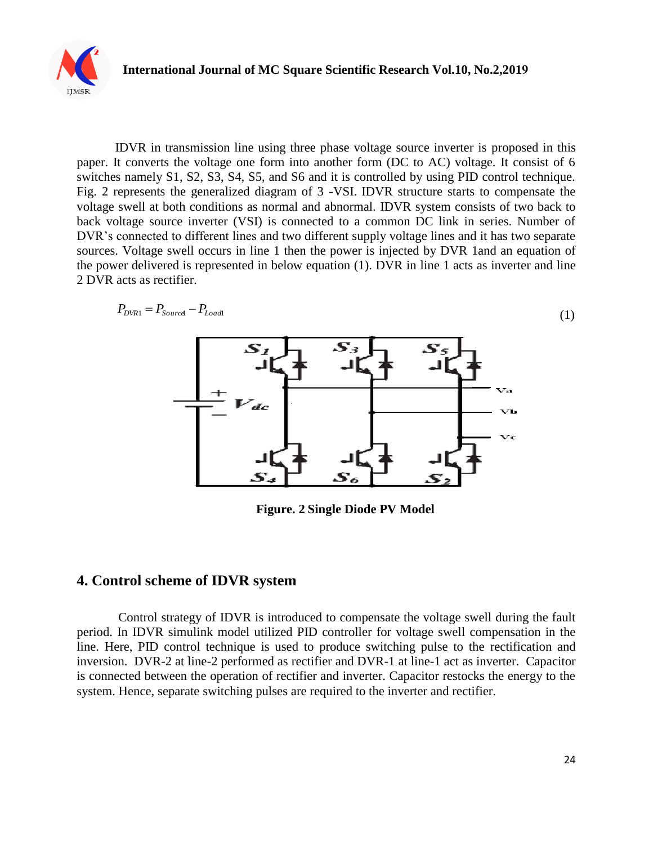

IDVR in transmission line using three phase voltage source inverter is proposed in this paper. It converts the voltage one form into another form (DC to AC) voltage. It consist of 6 switches namely S1, S2, S3, S4, S5, and S6 and it is controlled by using PID control technique. Fig. 2 represents the generalized diagram of 3 -VSI. IDVR structure starts to compensate the voltage swell at both conditions as normal and abnormal. IDVR system consists of two back to back voltage source inverter (VSI) is connected to a common DC link in series. Number of DVR's connected to different lines and two different supply voltage lines and it has two separate sources. Voltage swell occurs in line 1 then the power is injected by DVR 1and an equation of the power delivered is represented in below equation (1). DVR in line 1 acts as inverter and line 2 DVR acts as rectifier.



**Figure. 2 Single Diode PV Model**

#### **4. Control scheme of IDVR system**

Control strategy of IDVR is introduced to compensate the voltage swell during the fault period. In IDVR simulink model utilized PID controller for voltage swell compensation in the line. Here, PID control technique is used to produce switching pulse to the rectification and inversion. DVR-2 at line-2 performed as rectifier and DVR-1 at line-1 act as inverter. Capacitor is connected between the operation of rectifier and inverter. Capacitor restocks the energy to the system. Hence, separate switching pulses are required to the inverter and rectifier.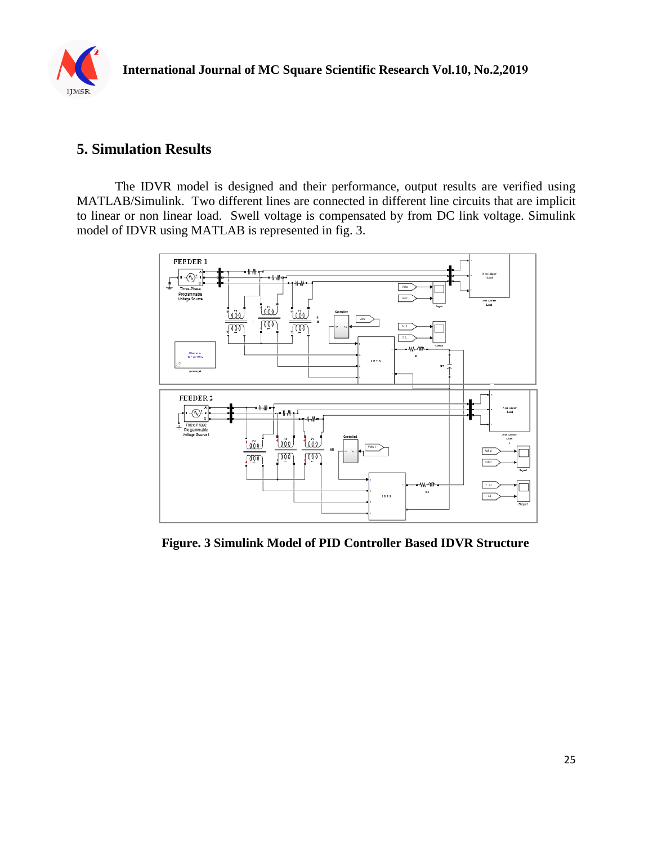

## **5. Simulation Results**

The IDVR model is designed and their performance, output results are verified using MATLAB/Simulink. Two different lines are connected in different line circuits that are implicit to linear or non linear load. Swell voltage is compensated by from DC link voltage. Simulink model of IDVR using MATLAB is represented in fig. 3.



**Figure. 3 Simulink Model of PID Controller Based IDVR Structure**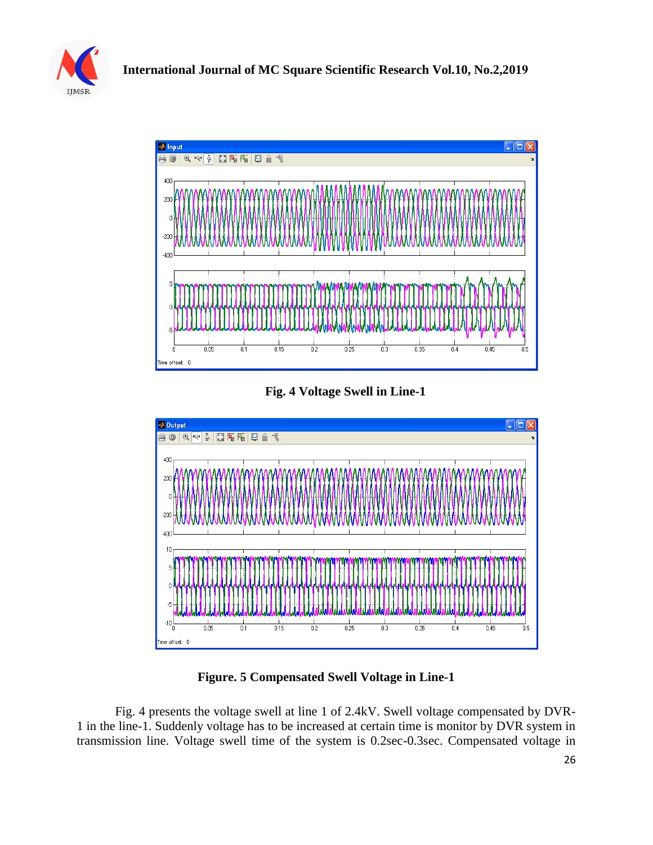



**Fig. 4 Voltage Swell in Line-1**



**Figure. 5 Compensated Swell Voltage in Line-1**

Fig. 4 presents the voltage swell at line 1 of 2.4kV. Swell voltage compensated by DVR-1 in the line-1. Suddenly voltage has to be increased at certain time is monitor by DVR system in transmission line. Voltage swell time of the system is 0.2sec-0.3sec. Compensated voltage in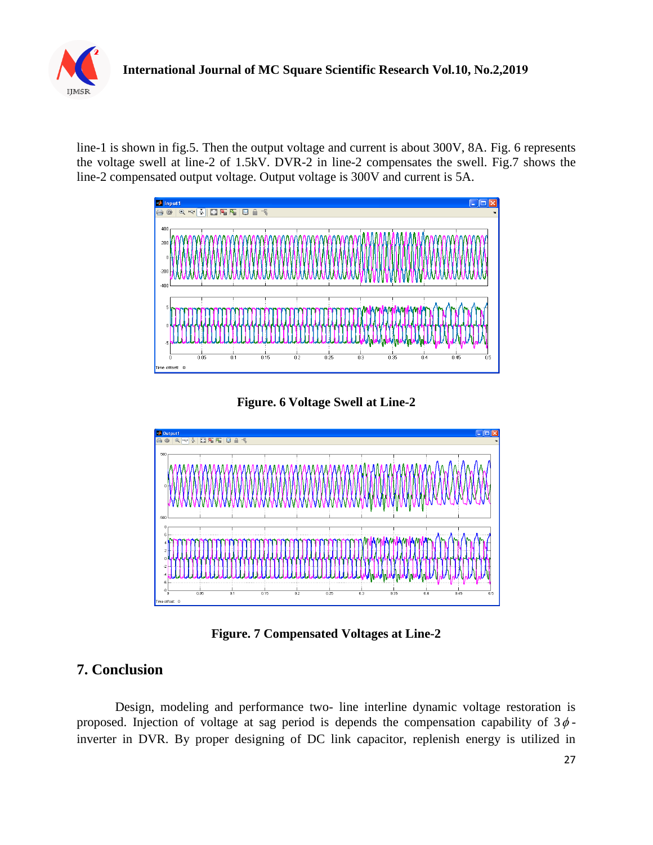

line-1 is shown in fig.5. Then the output voltage and current is about 300V, 8A. Fig. 6 represents the voltage swell at line-2 of 1.5kV. DVR-2 in line-2 compensates the swell. Fig.7 shows the line-2 compensated output voltage. Output voltage is 300V and current is 5A.



**Figure. 6 Voltage Swell at Line-2**



**Figure. 7 Compensated Voltages at Line-2**

## **7. Conclusion**

Design, modeling and performance two- line interline dynamic voltage restoration is proposed. Injection of voltage at sag period is depends the compensation capability of  $3\phi$ inverter in DVR. By proper designing of DC link capacitor, replenish energy is utilized in